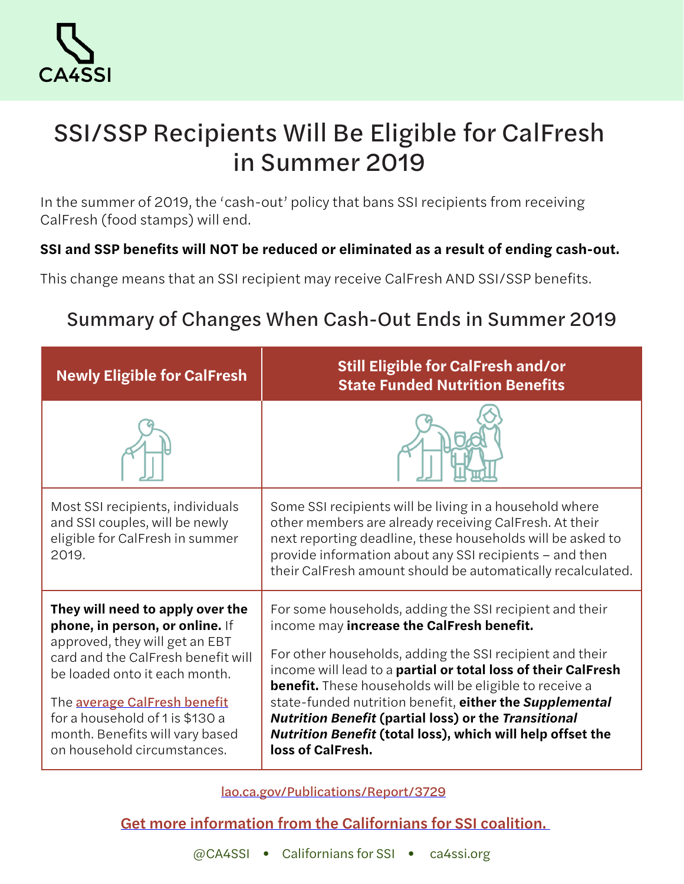

# SSI/SSP Recipients Will Be Eligible for CalFresh in Summer 2019

*In the summer of 2019, the 'cash-out' policy that bans SSI recipients from receiving CalFresh (food stamps) will end.* 

### **SSI and SSP benefits will NOT be reduced or eliminated as a result of ending cash-out.**

*This change means that an SSI recipient may receive CalFresh AND SSI/SSP benefits.*

# Summary of Changes When Cash-Out Ends in Summer 2019

| <b>Newly Eligible for CalFresh</b>                                                                                                                                                                                                                                                                                | <b>Still Eligible for CalFresh and/or</b><br><b>State Funded Nutrition Benefits</b>                                                                                                                                                                                                                                                                                                                                                                                                                              |
|-------------------------------------------------------------------------------------------------------------------------------------------------------------------------------------------------------------------------------------------------------------------------------------------------------------------|------------------------------------------------------------------------------------------------------------------------------------------------------------------------------------------------------------------------------------------------------------------------------------------------------------------------------------------------------------------------------------------------------------------------------------------------------------------------------------------------------------------|
|                                                                                                                                                                                                                                                                                                                   |                                                                                                                                                                                                                                                                                                                                                                                                                                                                                                                  |
| Most SSI recipients, individuals<br>and SSI couples, will be newly<br>eligible for CalFresh in summer<br>2019.                                                                                                                                                                                                    | Some SSI recipients will be living in a household where<br>other members are already receiving CalFresh. At their<br>next reporting deadline, these households will be asked to<br>provide information about any SSI recipients - and then<br>their CalFresh amount should be automatically recalculated.                                                                                                                                                                                                        |
| They will need to apply over the<br>phone, in person, or online. If<br>approved, they will get an EBT<br>card and the CalFresh benefit will<br>be loaded onto it each month.<br>The average CalFresh benefit<br>for a household of 1 is \$130 a<br>month. Benefits will vary based<br>on household circumstances. | For some households, adding the SSI recipient and their<br>income may increase the CalFresh benefit.<br>For other households, adding the SSI recipient and their<br>income will lead to a partial or total loss of their CalFresh<br><b>benefit.</b> These households will be eligible to receive a<br>state-funded nutrition benefit, either the Supplemental<br><b>Nutrition Benefit (partial loss) or the Transitional</b><br>Nutrition Benefit (total loss), which will help offset the<br>loss of CalFresh. |

[lao.ca.gov/Publications/Report/3729](https://lao.ca.gov/Publications/Report/3729)

# [Get more information from the Californians for SSI coalition.](http://ca4ssi.org/)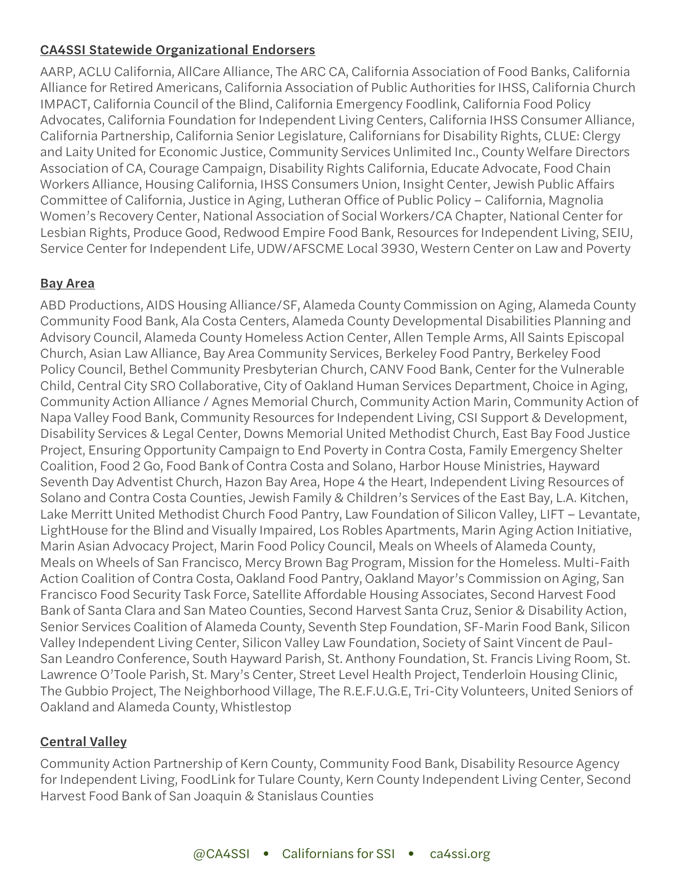#### CA4SSI Statewide Organizational Endorsers

*AARP, ACLU California, AllCare Alliance, The ARC CA, California Association of Food Banks, California Alliance for Retired Americans, California Association of Public Authorities for IHSS, California Church IMPACT, California Council of the Blind, California Emergency Foodlink, California Food Policy Advocates, California Foundation for Independent Living Centers, California IHSS Consumer Alliance, California Partnership, California Senior Legislature, Californians for Disability Rights, CLUE: Clergy and Laity United for Economic Justice, Community Services Unlimited Inc., County Welfare Directors Association of CA, Courage Campaign, Disability Rights California, Educate Advocate, Food Chain Workers Alliance, Housing California, IHSS Consumers Union, Insight Center, Jewish Public Affairs Committee of California, Justice in Aging, Lutheran Office of Public Policy – California, Magnolia Women's Recovery Center, National Association of Social Workers/CA Chapter, National Center for Lesbian Rights, Produce Good, Redwood Empire Food Bank, Resources for Independent Living, SEIU, Service Center for Independent Life, UDW/AFSCME Local 3930, Western Center on Law and Poverty*

#### **Bay Area**

*ABD Productions, AIDS Housing Alliance/SF, Alameda County Commission on Aging, Alameda County Community Food Bank, Ala Costa Centers, Alameda County Developmental Disabilities Planning and Advisory Council, Alameda County Homeless Action Center, Allen Temple Arms, All Saints Episcopal Church, Asian Law Alliance, Bay Area Community Services, Berkeley Food Pantry, Berkeley Food Policy Council, Bethel Community Presbyterian Church, CANV Food Bank, Center for the Vulnerable Child, Central City SRO Collaborative, City of Oakland Human Services Department, Choice in Aging, Community Action Alliance / Agnes Memorial Church, Community Action Marin, Community Action of Napa Valley Food Bank, Community Resources for Independent Living, CSI Support & Development, Disability Services & Legal Center, Downs Memorial United Methodist Church, East Bay Food Justice Project, Ensuring Opportunity Campaign to End Poverty in Contra Costa, Family Emergency Shelter Coalition, Food 2 Go, Food Bank of Contra Costa and Solano, Harbor House Ministries, Hayward Seventh Day Adventist Church, Hazon Bay Area, Hope 4 the Heart, Independent Living Resources of Solano and Contra Costa Counties, Jewish Family & Children's Services of the East Bay, L.A. Kitchen,*  Lake Merritt United Methodist Church Food Pantry, Law Foundation of Silicon Valley, LIFT – Levantate, *LightHouse for the Blind and Visually Impaired, Los Robles Apartments, Marin Aging Action Initiative, Marin Asian Advocacy Project, Marin Food Policy Council, Meals on Wheels of Alameda County, Meals on Wheels of San Francisco, Mercy Brown Bag Program, Mission for the Homeless. Multi-Faith Action Coalition of Contra Costa, Oakland Food Pantry, Oakland Mayor's Commission on Aging, San Francisco Food Security Task Force, Satellite Affordable Housing Associates, Second Harvest Food Bank of Santa Clara and San Mateo Counties, Second Harvest Santa Cruz, Senior & Disability Action, Senior Services Coalition of Alameda County, Seventh Step Foundation, SF-Marin Food Bank, Silicon Valley Independent Living Center, Silicon Valley Law Foundation, Society of Saint Vincent de Paul-San Leandro Conference, South Hayward Parish, St. Anthony Foundation, St. Francis Living Room, St. Lawrence O'Toole Parish, St. Mary's Center, Street Level Health Project, Tenderloin Housing Clinic, The Gubbio Project, The Neighborhood Village, The R.E.F.U.G.E, Tri-City Volunteers, United Seniors of Oakland and Alameda County, Whistlestop*

#### Central Valley

*Community Action Partnership of Kern County, Community Food Bank, Disability Resource Agency for Independent Living, FoodLink for Tulare County, Kern County Independent Living Center, Second Harvest Food Bank of San Joaquin & Stanislaus Counties*